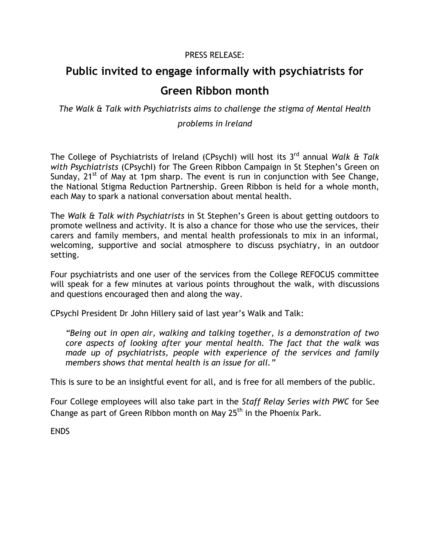## PRESS RELEASE:

## **Public invited to engage informally with psychiatrists for Green Ribbon month**

*The Walk & Talk with Psychiatrists aims to challenge the stigma of Mental Health problems in Ireland*

The College of Psychiatrists of Ireland (CPsychI) will host its 3 rd annual *Walk & Talk with Psychiatrists* (CPsychI) for The Green Ribbon Campaign in St Stephen's Green on Sunday,  $21^{st}$  of May at 1pm sharp. The event is run in conjunction with See Change, the National Stigma Reduction Partnership. Green Ribbon is held for a whole month, each May to spark a national conversation about mental health.

The *Walk & Talk with Psychiatrists* in St Stephen's Green is about getting outdoors to promote wellness and activity. It is also a chance for those who use the services, their carers and family members, and mental health professionals to mix in an informal, welcoming, supportive and social atmosphere to discuss psychiatry, in an outdoor setting.

Four psychiatrists and one user of the services from the College REFOCUS committee will speak for a few minutes at various points throughout the walk, with discussions and questions encouraged then and along the way.

CPsychI President Dr John Hillery said of last year's Walk and Talk:

*"Being out in open air, walking and talking together, is a demonstration of two core aspects of looking after your mental health. The fact that the walk was made up of psychiatrists, people with experience of the services and family members shows that mental health is an issue for all."*

This is sure to be an insightful event for all, and is free for all members of the public.

Four College employees will also take part in the *Staff Relay Series with PWC* for See Change as part of Green Ribbon month on May  $25<sup>th</sup>$  in the Phoenix Park.

ENDS